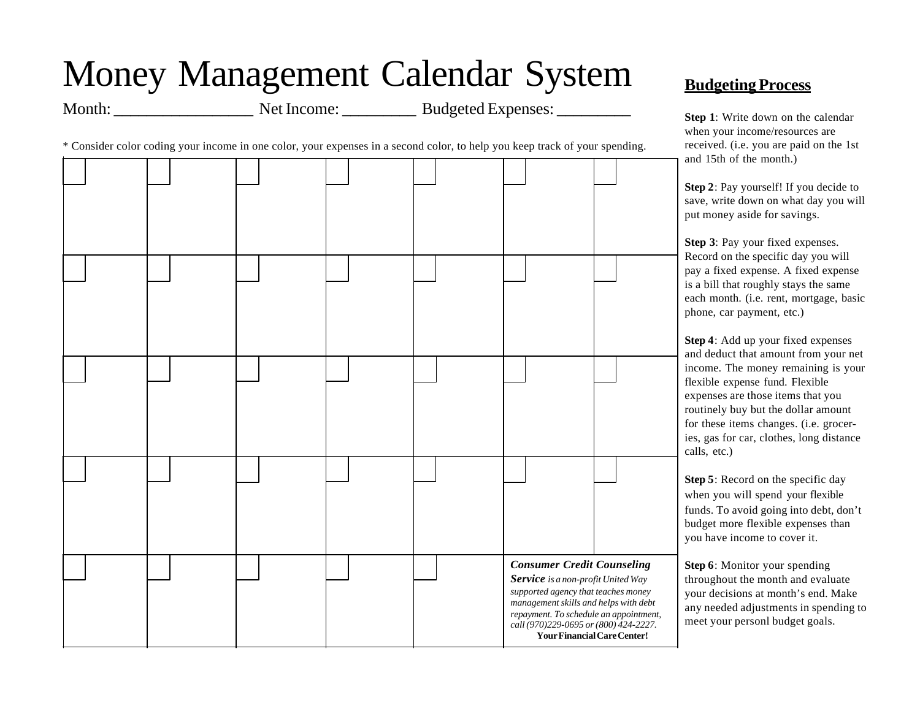## Money Management Calendar System

Month: Net Income: Budgeted Expenses:

\* Consider color coding your income in one color, your expenses in a second color, to help you keep track of your spending.



## **Budgeting Process**

**Step 1**: Write down on the calendar when your income/resources are received. (i.e. you are paid on the 1st and 15th of the month.)

**Step 2**: Pay yourself! If you decide to save, write down on what day you will put money aside for savings.

**Step 3**: Pay your fixed expenses. Record on the specific day you will pay a fixed expense. A fixed expense is a bill that roughly stays the same each month. (i.e. rent, mortgage, basic phone, car payment, etc.)

**Step 4**: Add up your fixed expenses and deduct that amount from your net income. The money remaining is your flexible expense fund. Flexible expenses are those items that you routinely buy but the dollar amount for these items changes. (i.e. groceries, gas for car, clothes, long distance calls, etc.)

**Step 5**: Record on the specific day when you will spend your flexible funds. To avoid going into debt, don't budget more flexible expenses than you have income to cover it.

**Step 6**: Monitor your spending throughout the month and evaluate your decisions at month's end. Make any needed adjustments in spending to meet your personl budget goals.